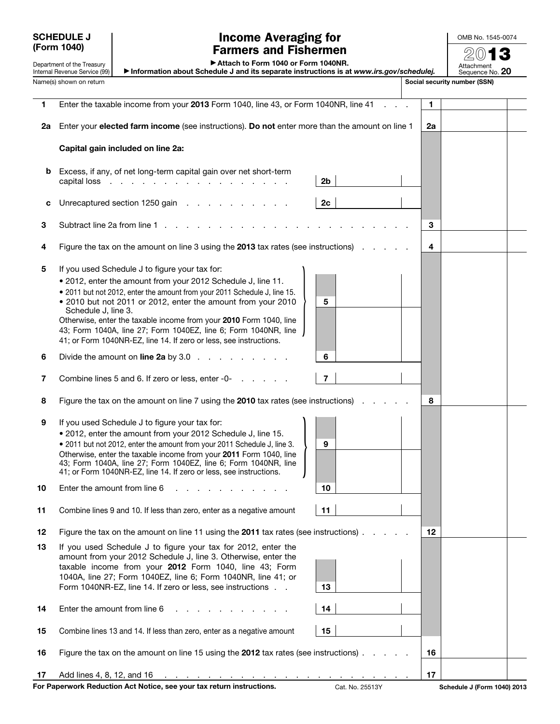SCHEDULE J (Form 1040)

Department of the Treasury Internal Revenue Service (99)

## Income Averaging for Farmers and Fishermen

OMB No. 1545-0074

 $20$ 

▶ Attach to Form 1040 or Form 1040NR.

▶ Information about Schedule J and its separate instructions is at *www.irs.gov/schedulej.* Attachment Sequence No. 20

Name(s) shown on return structure of the structure of the structure of the structure of the social security number (SSN) 1 Enter the taxable income from your 2013 Form 1040, line 43, or Form 1040NR, line 41 . . . 1 2a Enter your elected farm income (see instructions). Do not enter more than the amount on line  $1 \mid 2a$ Capital gain included on line 2a: b Excess, if any, of net long-term capital gain over net short-term capital loss  $\ldots$  . . . . . . . . . . . . . . . . . 2b c Unrecaptured section 1250 gain  $\ldots$  . . . . . . . . 2c 3 Subtract line 2a from line 1 . . . . . . . . . . . . . . . . . . . . . . . 3 4 Figure the tax on the amount on line 3 using the 2013 tax rates (see instructions)  $\ldots$  .  $\vert 4$ 5 If you used Schedule J to figure your tax for: • 2012, enter the amount from your 2012 Schedule J, line 11. • 2011 but not 2012, enter the amount from your 2011 Schedule J, line 15. • 2010 but not 2011 or 2012, enter the amount from your 2010 Schedule J, line 3. Otherwise, enter the taxable income from your 2010 Form 1040, line 43; Form 1040A, line 27; Form 1040EZ, line 6; Form 1040NR, line 41; or Form 1040NR-EZ, line 14. If zero or less, see instructions.  $\begin{array}{|c|c|c|c|c|}\hline \rule{0pt}{12pt} & \rule{0pt}{2pt} \multicolumn{1}{|c|}{5} \\\hline \rule{0pt}{12pt} & \rule{0pt}{2pt} \multicolumn{1}{|c|}{5} \\\hline \rule{0pt}{12pt} & \rule{0pt}{2pt} \multicolumn{1}{|c|}{5} \\\hline \rule{0pt}{12pt} & \rule{0pt}{2pt} \multicolumn{1}{|c|}{5} \\\hline \rule{0pt}{12pt} & \rule{0pt}{2pt} \multicolumn{1}{|c|}{5} \\\hline \rule{0pt}{12pt} & \rule{0pt$ 6 Divide the amount on line 2a by  $3.0 \ldots$  . . . . . . .  $\vert 6$ 7 Combine lines 5 and 6. If zero or less, enter -0- . . . . . . . . . . . . . . 7 8 Figure the tax on the amount on line 7 using the 2010 tax rates (see instructions) . . . . . 8 9 If you used Schedule J to figure your tax for: • 2012, enter the amount from your 2012 Schedule J, line 15. • 2011 but not 2012, enter the amount from your 2011 Schedule J, line 3. Otherwise, enter the taxable income from your 2011 Form 1040, line 43; Form 1040A, line 27; Form 1040EZ, line 6; Form 1040NR, line • 2011 but not 2012, enter the amount from your 2011 Schedule J, line 3.<br>Otherwise, enter the taxable income from your **2011** Form 1040, line<br>43; Form 1040A, line 27; Form 1040EZ, line 6; Form 1040NR, line<br>41; or Form 104 **10** Enter the amount from line  $6 \ldots \ldots \ldots \ldots$ 11 Combine lines 9 and 10. If less than zero, enter as a negative amount 11 12 Figure the tax on the amount on line 11 using the 2011 tax rates (see instructions)  $\ldots$  . .  $\boxed{12}$ 13 If you used Schedule J to figure your tax for 2012, enter the amount from your 2012 Schedule J, line 3. Otherwise, enter the taxable income from your 2012 Form 1040, line 43; Form 1040A, line 27; Form 1040EZ, line 6; Form 1040NR, line 41; or Form 1040NR-EZ, line 14. If zero or less, see instructions . . 13 14 Enter the amount from line  $6 \ldots \ldots \ldots \ldots$  . . . . . | 14 15 Combine lines 13 and 14. If less than zero, enter as a negative amount 15 16 Figure the tax on the amount on line 15 using the 2012 tax rates (see instructions)  $\ldots$  . .  $\vert$  16 17 Add lines 4, 8, 12, and 16 . . . . . . . . . . . . . . . . . . . . . . . 17

For Paperwork Reduction Act Notice, see your tax return instructions. Cat. No. 25513Y Schedule J (Form 1040) 2013